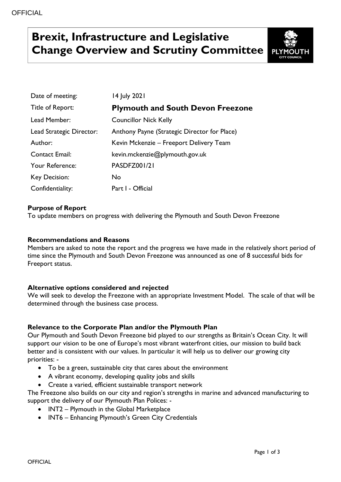# **Brexit, Infrastructure and Legislative Change Overview and Scrutiny Committee**



| Date of meeting:         | 14 July 2021                                 |
|--------------------------|----------------------------------------------|
| Title of Report:         | <b>Plymouth and South Devon Freezone</b>     |
| Lead Member:             | <b>Councillor Nick Kelly</b>                 |
| Lead Strategic Director: | Anthony Payne (Strategic Director for Place) |
| Author:                  | Kevin Mckenzie – Freeport Delivery Team      |
| <b>Contact Email:</b>    | kevin.mckenzie@plymouth.gov.uk               |
| Your Reference:          | PASDFZ001/21                                 |
| Key Decision:            | No                                           |
| Confidentiality:         | Part I - Official                            |

# **Purpose of Report**

To update members on progress with delivering the Plymouth and South Devon Freezone

### **Recommendations and Reasons**

Members are asked to note the report and the progress we have made in the relatively short period of time since the Plymouth and South Devon Freezone was announced as one of 8 successful bids for Freeport status.

# **Alternative options considered and rejected**

We will seek to develop the Freezone with an appropriate Investment Model. The scale of that will be determined through the business case process.

#### **Relevance to the Corporate Plan and/or the Plymouth Plan**

Our Plymouth and South Devon Freezone bid played to our strengths as Britain's Ocean City. It will support our vision to be one of Europe's most vibrant waterfront cities, our mission to build back better and is consistent with our values. In particular it will help us to deliver our growing city priorities: -

- To be a green, sustainable city that cares about the environment
- A vibrant economy, developing quality jobs and skills
- Create a varied, efficient sustainable transport network

The Freezone also builds on our city and region's strengths in marine and advanced manufacturing to support the delivery of our Plymouth Plan Polices: -

- INT2 Plymouth in the Global Marketplace
- INT6 Enhancing Plymouth's Green City Credentials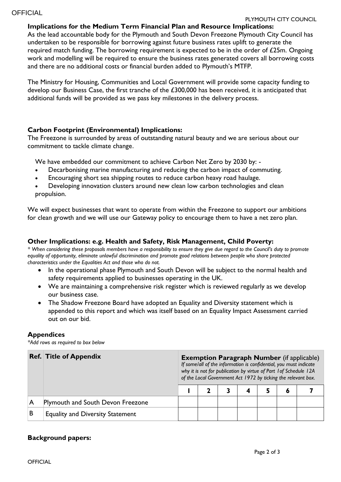#### **Implications for the Medium Term Financial Plan and Resource Implications:**

As the lead accountable body for the Plymouth and South Devon Freezone Plymouth City Council has undertaken to be responsible for borrowing against future business rates uplift to generate the required match funding. The borrowing requirement is expected to be in the order of £25m. Ongoing work and modelling will be required to ensure the business rates generated covers all borrowing costs and there are no additional costs or financial burden added to Plymouth's MTFP.

The Ministry for Housing, Communities and Local Government will provide some capacity funding to develop our Business Case, the first tranche of the £300,000 has been received, it is anticipated that additional funds will be provided as we pass key milestones in the delivery process.

#### **Carbon Footprint (Environmental) Implications:**

The Freezone is surrounded by areas of outstanding natural beauty and we are serious about our commitment to tackle climate change.

We have embedded our commitment to achieve Carbon Net Zero by 2030 by: -

- Decarbonising marine manufacturing and reducing the carbon impact of commuting.
- Encouraging short sea shipping routes to reduce carbon heavy road haulage.

 Developing innovation clusters around new clean low carbon technologies and clean propulsion.

We will expect businesses that want to operate from within the Freezone to support our ambitions for clean growth and we will use our Gateway policy to encourage them to have a net zero plan.

#### **Other Implications: e.g. Health and Safety, Risk Management, Child Poverty:**

*\* When considering these proposals members have a responsibility to ensure they give due regard to the Council's duty to promote equality of opportunity, eliminate unlawful discrimination and promote good relations between people who share protected characteristics under the Equalities Act and those who do not.*

- In the operational phase Plymouth and South Devon will be subject to the normal health and safety requirements applied to businesses operating in the UK.
- We are maintaining a comprehensive risk register which is reviewed regularly as we develop our business case.
- The Shadow Freezone Board have adopted an Equality and Diversity statement which is appended to this report and which was itself based on an Equality Impact Assessment carried out on our bid.

#### **Appendices**

*\*Add rows as required to box below*

|   | <b>Ref. Title of Appendix</b>           | <b>Exemption Paragraph Number</b> (if applicable)<br>If some/all of the information is confidential, you must indicate<br>why it is not for publication by virtue of Part 1 of Schedule 12A<br>of the Local Government Act 1972 by ticking the relevant box. |  |  |   |  |   |  |  |  |
|---|-----------------------------------------|--------------------------------------------------------------------------------------------------------------------------------------------------------------------------------------------------------------------------------------------------------------|--|--|---|--|---|--|--|--|
|   |                                         |                                                                                                                                                                                                                                                              |  |  | 4 |  | O |  |  |  |
|   | Plymouth and South Devon Freezone       |                                                                                                                                                                                                                                                              |  |  |   |  |   |  |  |  |
| B | <b>Equality and Diversity Statement</b> |                                                                                                                                                                                                                                                              |  |  |   |  |   |  |  |  |

# **Background papers:**